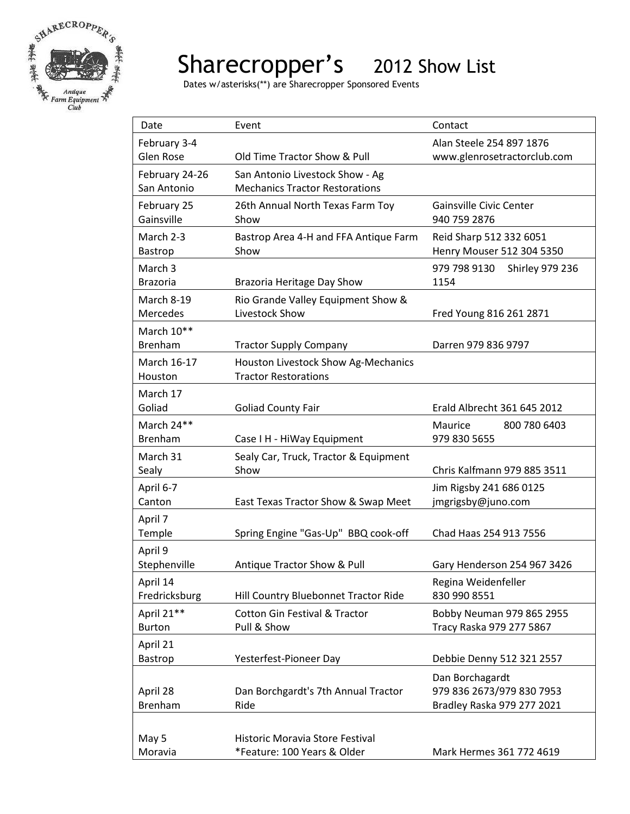

## Sharecropper's 2012 Show List

Dates w/asterisks(\*\*) are Sharecropper Sponsored Events

| Date                        | Event                                                          | Contact                                                 |
|-----------------------------|----------------------------------------------------------------|---------------------------------------------------------|
| February 3-4                |                                                                | Alan Steele 254 897 1876                                |
| Glen Rose                   | Old Time Tractor Show & Pull                                   | www.glenrosetractorclub.com                             |
| February 24-26              | San Antonio Livestock Show - Ag                                |                                                         |
| San Antonio                 | <b>Mechanics Tractor Restorations</b>                          |                                                         |
| February 25                 | 26th Annual North Texas Farm Toy                               | <b>Gainsville Civic Center</b>                          |
| Gainsville                  | Show                                                           | 940 759 2876                                            |
| March 2-3                   | Bastrop Area 4-H and FFA Antique Farm                          | Reid Sharp 512 332 6051                                 |
| <b>Bastrop</b>              | Show                                                           | Henry Mouser 512 304 5350                               |
| March <sub>3</sub>          |                                                                | <b>Shirley 979 236</b><br>979 798 9130                  |
| <b>Brazoria</b>             | Brazoria Heritage Day Show                                     | 1154                                                    |
| March 8-19                  | Rio Grande Valley Equipment Show &                             |                                                         |
| Mercedes                    | Livestock Show                                                 | Fred Young 816 261 2871                                 |
| March 10**                  |                                                                |                                                         |
| <b>Brenham</b>              | <b>Tractor Supply Company</b>                                  | Darren 979 836 9797                                     |
| March 16-17                 | Houston Livestock Show Ag-Mechanics                            |                                                         |
| Houston                     | <b>Tractor Restorations</b>                                    |                                                         |
| March 17                    |                                                                |                                                         |
| Goliad                      | <b>Goliad County Fair</b>                                      | Erald Albrecht 361 645 2012                             |
| March 24**                  |                                                                | Maurice<br>800 780 6403                                 |
| <b>Brenham</b>              | Case I H - HiWay Equipment                                     | 979 830 5655                                            |
| March 31                    | Sealy Car, Truck, Tractor & Equipment                          |                                                         |
| Sealy                       | Show                                                           | Chris Kalfmann 979 885 3511                             |
| April 6-7                   |                                                                | Jim Rigsby 241 686 0125                                 |
| Canton                      | East Texas Tractor Show & Swap Meet                            | jmgrigsby@juno.com                                      |
| April 7                     |                                                                |                                                         |
| Temple                      | Spring Engine "Gas-Up" BBQ cook-off                            | Chad Haas 254 913 7556                                  |
| April 9                     |                                                                |                                                         |
| Stephenville                | Antique Tractor Show & Pull                                    | Gary Henderson 254 967 3426                             |
| April 14<br>Fredricksburg   |                                                                | Regina Weidenfeller<br>830 990 8551                     |
|                             | Hill Country Bluebonnet Tractor Ride                           |                                                         |
| April 21**<br><b>Burton</b> | <b>Cotton Gin Festival &amp; Tractor</b><br>Pull & Show        | Bobby Neuman 979 865 2955<br>Tracy Raska 979 277 5867   |
|                             |                                                                |                                                         |
| April 21                    |                                                                | Debbie Denny 512 321 2557                               |
| Bastrop                     | Yesterfest-Pioneer Day                                         |                                                         |
|                             |                                                                | Dan Borchagardt                                         |
| April 28<br><b>Brenham</b>  | Dan Borchgardt's 7th Annual Tractor<br>Ride                    | 979 836 2673/979 830 7953<br>Bradley Raska 979 277 2021 |
|                             |                                                                |                                                         |
|                             |                                                                |                                                         |
| May 5<br>Moravia            | Historic Moravia Store Festival<br>*Feature: 100 Years & Older | Mark Hermes 361 772 4619                                |
|                             |                                                                |                                                         |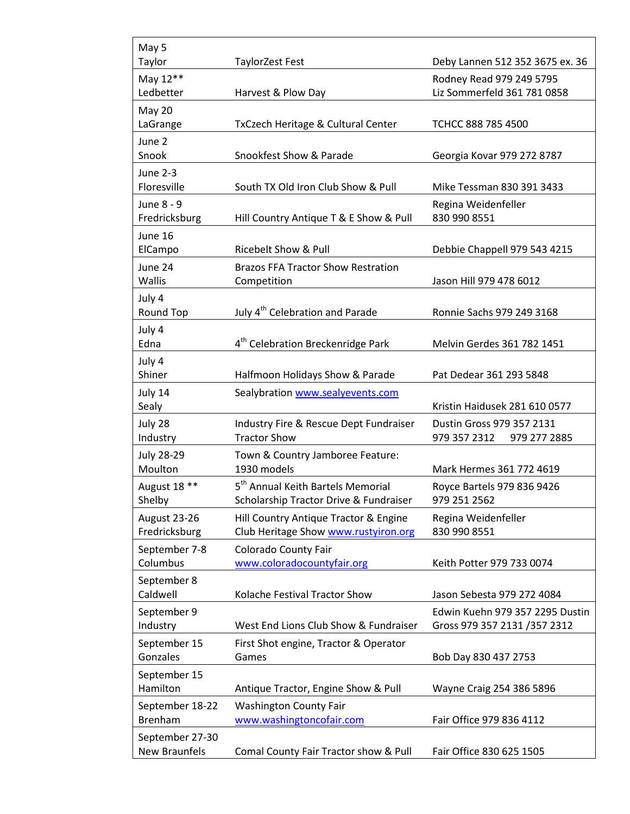| May 5                         |                                                    |                                     |
|-------------------------------|----------------------------------------------------|-------------------------------------|
| Taylor                        | <b>TaylorZest Fest</b>                             | Deby Lannen 512 352 3675 ex. 36     |
| May 12**                      |                                                    | Rodney Read 979 249 5795            |
| Ledbetter                     | Harvest & Plow Day                                 | Liz Sommerfeld 361 781 0858         |
| May 20                        |                                                    |                                     |
| LaGrange                      | TxCzech Heritage & Cultural Center                 | TCHCC 888 785 4500                  |
| June 2<br>Snook               | Snookfest Show & Parade                            |                                     |
|                               |                                                    | Georgia Kovar 979 272 8787          |
| June 2-3<br>Floresville       | South TX Old Iron Club Show & Pull                 | Mike Tessman 830 391 3433           |
| June 8 - 9<br>Fredricksburg   | Hill Country Antique T & E Show & Pull             | Regina Weidenfeller<br>830 990 8551 |
|                               |                                                    |                                     |
| June 16<br>ElCampo            | <b>Ricebelt Show &amp; Pull</b>                    | Debbie Chappell 979 543 4215        |
| June 24                       | <b>Brazos FFA Tractor Show Restration</b>          |                                     |
| Wallis                        | Competition                                        | Jason Hill 979 478 6012             |
| July 4                        |                                                    |                                     |
| Round Top                     | July 4 <sup>th</sup> Celebration and Parade        | Ronnie Sachs 979 249 3168           |
| July 4                        |                                                    |                                     |
| Edna                          | 4 <sup>th</sup> Celebration Breckenridge Park      | Melvin Gerdes 361 782 1451          |
| July 4                        |                                                    |                                     |
| Shiner                        | Halfmoon Holidays Show & Parade                    | Pat Dedear 361 293 5848             |
| July 14                       | Sealybration www.sealyevents.com                   |                                     |
| Sealy                         |                                                    | Kristin Haidusek 281 610 0577       |
| July 28                       | Industry Fire & Rescue Dept Fundraiser             | Dustin Gross 979 357 2131           |
| Industry                      | <b>Tractor Show</b>                                | 979 357 2312<br>979 277 2885        |
| <b>July 28-29</b>             | Town & Country Jamboree Feature:                   |                                     |
| Moulton                       | 1930 models                                        | Mark Hermes 361 772 4619            |
| August 18 **                  | 5 <sup>th</sup> Annual Keith Bartels Memorial      | Royce Bartels 979 836 9426          |
| Shelby                        | Scholarship Tractor Drive & Fundraiser             | 979 251 2562                        |
| August 23-26<br>Fredricksburg | Hill Country Antique Tractor & Engine              | Regina Weidenfeller<br>830 990 8551 |
|                               | Club Heritage Show www.rustyiron.org               |                                     |
| September 7-8<br>Columbus     | Colorado County Fair<br>www.coloradocountyfair.org | Keith Potter 979 733 0074           |
|                               |                                                    |                                     |
| September 8<br>Caldwell       | Kolache Festival Tractor Show                      | Jason Sebesta 979 272 4084          |
| September 9                   |                                                    | Edwin Kuehn 979 357 2295 Dustin     |
| Industry                      | West End Lions Club Show & Fundraiser              | Gross 979 357 2131 /357 2312        |
| September 15                  | First Shot engine, Tractor & Operator              |                                     |
| Gonzales                      | Games                                              | Bob Day 830 437 2753                |
| September 15                  |                                                    |                                     |
| Hamilton                      | Antique Tractor, Engine Show & Pull                | Wayne Craig 254 386 5896            |
| September 18-22               | <b>Washington County Fair</b>                      |                                     |
| <b>Brenham</b>                | www.washingtoncofair.com                           | Fair Office 979 836 4112            |
| September 27-30               |                                                    |                                     |
| <b>New Braunfels</b>          | Comal County Fair Tractor show & Pull              | Fair Office 830 625 1505            |

 $\mathsf{r}$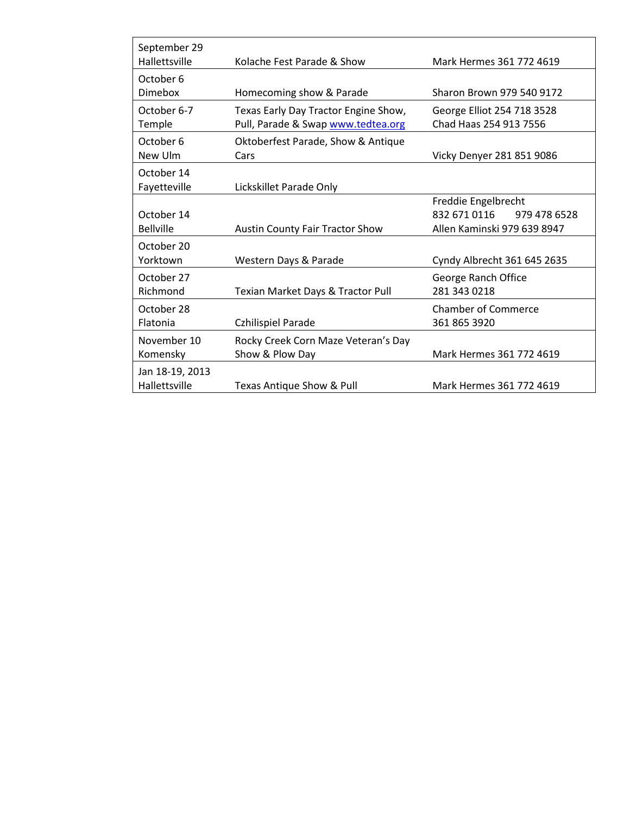| September 29<br>Hallettsville    | Kolache Fest Parade & Show                                                 | Mark Hermes 361 772 4619                                                           |
|----------------------------------|----------------------------------------------------------------------------|------------------------------------------------------------------------------------|
| October 6<br><b>Dimebox</b>      | Homecoming show & Parade                                                   | Sharon Brown 979 540 9172                                                          |
| October 6-7<br>Temple            | Texas Early Day Tractor Engine Show,<br>Pull, Parade & Swap www.tedtea.org | George Elliot 254 718 3528<br>Chad Haas 254 913 7556                               |
| October 6<br>New Ulm             | Oktoberfest Parade, Show & Antique<br>Cars                                 | Vicky Denyer 281 851 9086                                                          |
| October 14<br>Fayetteville       | Lickskillet Parade Only                                                    |                                                                                    |
| October 14<br><b>Bellville</b>   | <b>Austin County Fair Tractor Show</b>                                     | Freddie Engelbrecht<br>832 671 0116<br>979 478 6528<br>Allen Kaminski 979 639 8947 |
| October 20<br>Yorktown           | Western Days & Parade                                                      | Cyndy Albrecht 361 645 2635                                                        |
| October 27<br>Richmond           | Texian Market Days & Tractor Pull                                          | George Ranch Office<br>281 343 0218                                                |
| October 28<br>Flatonia           | Czhilispiel Parade                                                         | <b>Chamber of Commerce</b><br>361 865 3920                                         |
| November 10<br>Komensky          | Rocky Creek Corn Maze Veteran's Day<br>Show & Plow Day                     | Mark Hermes 361 772 4619                                                           |
| Jan 18-19, 2013<br>Hallettsville | Texas Antique Show & Pull                                                  | Mark Hermes 361 772 4619                                                           |